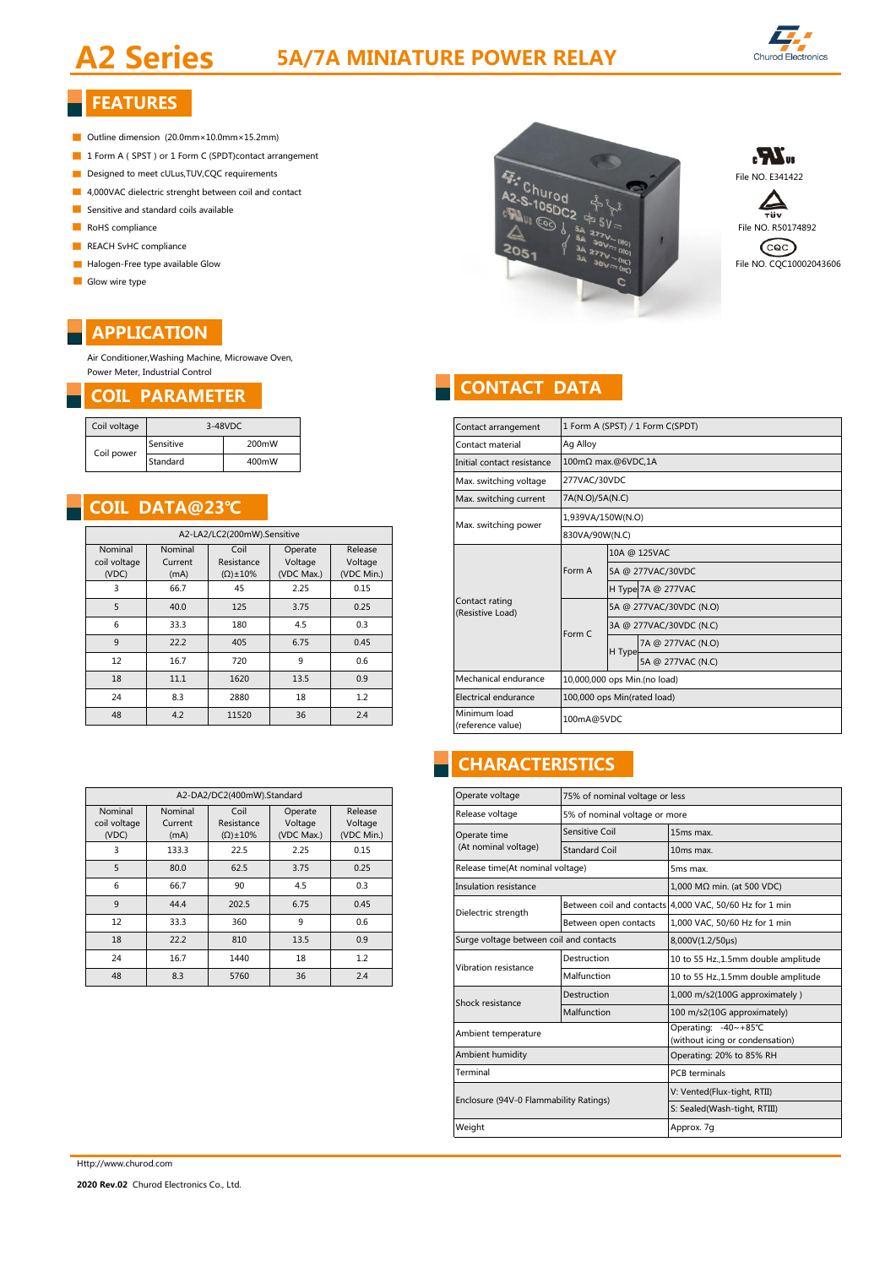# **A2 Series 5A/7A MINIATURE POWER RELAY**



## **FEATURES**

- Outline dimension (20.0mm×10.0mm×15.2mm)
- 1 Form A ( SPST ) or 1 Form C (SPDT)contact arrangement
- 
- **4,000VAC** dielectric strenght between coil and contact
- $\blacksquare$  Sensitive and standard coils available
- 
- REACH SvHC compliance
- 
- Glow wire type

### **APPLICATION**

Air Conditioner,Washing Machine, Microwave Oven, Power Meter, Industrial Control

| Coil voltage | 3-48VDC   |       |  |
|--------------|-----------|-------|--|
|              | Sensitive | 200mW |  |
| Coil power   | Standard  | 400mW |  |

### **COIL DATA@23℃**

| ividy, switching power             | A2-LA2/LC2(200mW).Sensitive      |                                  |                                           |                            |                                  |  |  |  |  |  |
|------------------------------------|----------------------------------|----------------------------------|-------------------------------------------|----------------------------|----------------------------------|--|--|--|--|--|
|                                    | Release<br>Voltage<br>(VDC Min.) | Operate<br>Voltage<br>(VDC Max.) | Coil<br>Resistance<br>$(\Omega) \pm 10\%$ | Nominal<br>Current<br>(mA) | Nominal<br>coil voltage<br>(VDC) |  |  |  |  |  |
|                                    | 0.15                             | 2.25                             | 45                                        | 66.7                       | 3                                |  |  |  |  |  |
| Contact rating<br>(Resistive Load) | 0.25                             | 3.75                             | 125                                       | 5<br>40.0                  |                                  |  |  |  |  |  |
|                                    | 0.3                              | 4.5                              | 180                                       | 33.3                       | 6                                |  |  |  |  |  |
|                                    | 0.45                             | 6.75                             | 405                                       | 22.2                       | 9                                |  |  |  |  |  |
|                                    | 0.6                              | 9                                | 720                                       | 16.7                       | 12                               |  |  |  |  |  |
| Mechanical endurance               | 0.9                              | 13.5                             | 1620                                      | 11.1                       | 18                               |  |  |  |  |  |
| Electrical endurance               | $1.2^{\circ}$                    | 18                               | 2880                                      | 8.3                        | 24                               |  |  |  |  |  |
| Minimum load<br>.                  | 2.4                              | 36                               | 11520                                     | 4.2                        | 48                               |  |  |  |  |  |

|                                         | Operate voltage      | A2-DA2/DC2(400mW).Standard               |            |                     |                    |                         |  |  |  |
|-----------------------------------------|----------------------|------------------------------------------|------------|---------------------|--------------------|-------------------------|--|--|--|
|                                         | Release voltage      | Release<br>Operate<br>Voltage<br>Voltage |            | Coil<br>Resistance  | Nominal<br>Current | Nominal<br>coil voltage |  |  |  |
| <b>Sensitive Coil</b>                   | Operate time         | (VDC Min.)                               | (VDC Max.) | $(\Omega) \pm 10\%$ | (mA)               | (VDC)                   |  |  |  |
| <b>Standard Coil</b>                    | (At nominal voltage) | 0.15                                     | 2.25       | 22.5                | 133.3              | 3                       |  |  |  |
| Release time(At nominal voltage)        |                      | 0.25                                     | 3.75       | 62.5                | 80.0               | 5                       |  |  |  |
| Insulation resistance                   |                      | 0.3                                      | 4.5        | 90                  | 66.7               | 6                       |  |  |  |
| Between coil                            | Dielectric strength  | 0.45                                     | 6.75       | 202.5               | 44.4               | 9                       |  |  |  |
| Between ope                             |                      | 0.6                                      | 9          | 360                 | 33.3               | 12                      |  |  |  |
| Surge voltage between coil and contacts |                      | 0.9                                      | 13.5       | 810                 | 22.2               | 18                      |  |  |  |
| Destruction<br>Vibration resistance     |                      | 1.2                                      | 18         | 1440                | 16.7               | 24                      |  |  |  |
| Malfunction                             |                      | 2.4                                      | 36         | 5760                | 8.3                | 48                      |  |  |  |
|                                         |                      |                                          |            |                     |                    |                         |  |  |  |







# **COIL PARAMETER CONTACT DATA**

| Coil voltage                |                       | 3-48VDC             |                    |                    |  | Contact arrangement                                 |                   | 1 Form A (SPST) / 1 Form C(SPDT) |  |  |  |
|-----------------------------|-----------------------|---------------------|--------------------|--------------------|--|-----------------------------------------------------|-------------------|----------------------------------|--|--|--|
| Coil power                  | Sensitive             | 200mW               |                    |                    |  | Contact material                                    | Ag Alloy          |                                  |  |  |  |
|                             | Standard              | 400mW               |                    |                    |  | Initial contact resistance                          |                   | 100mΩ max.@6VDC.1A               |  |  |  |
|                             |                       |                     |                    |                    |  | Max. switching voltage                              | 277VAC/30VDC      |                                  |  |  |  |
|                             | <b>COIL DATA@23°C</b> |                     |                    |                    |  | Max. switching current                              | 7A(N.O)/5A(N.C)   |                                  |  |  |  |
|                             |                       |                     |                    |                    |  |                                                     | 1,939VA/150W(N.O) |                                  |  |  |  |
| A2-LA2/LC2(200mW).Sensitive |                       |                     |                    |                    |  | Max. switching power                                | 830VA/90W(N.C)    |                                  |  |  |  |
| Nominal<br>coil voltage     | Nominal<br>Current    | Coil<br>Resistance  | Operate<br>Voltage | Release<br>Voltage |  |                                                     |                   | 10A @ 125VAC                     |  |  |  |
| (VDC)                       | (mA)                  | $(\Omega) \pm 10\%$ | (VDC Max.)         | (VDC Min.)         |  | Contact rating<br>(Resistive Load)                  | Form A            | 5A @ 277VAC/30VDC                |  |  |  |
| 3                           | 66.7                  | 45                  | 2.25               | 0.15               |  |                                                     |                   | H Type 7A @ 277VAC               |  |  |  |
| 5                           | 40.0                  | 125                 | 3.75               | 0.25               |  |                                                     |                   | 5A @ 277VAC/30VDC (N.O)          |  |  |  |
| 6                           | 33.3                  | 180                 | 4.5                | 0.3                |  |                                                     | Form C            | 3A @ 277VAC/30VDC (N.C)          |  |  |  |
| 9                           | 22.2                  | 405                 | 6.75               | 0.45               |  |                                                     |                   | 7A @ 277VAC (N.O)                |  |  |  |
| 12                          | 16.7                  | 720                 | 9                  | 0.6                |  |                                                     |                   | H Type<br>5A @ 277VAC (N.C)      |  |  |  |
| 18                          | 11.1                  | 1620                | 13.5               | 0.9                |  | Mechanical endurance                                |                   | 10,000,000 ops Min.(no load)     |  |  |  |
| 24                          | 8.3                   | 2880                | 18                 | 1.2                |  | Electrical endurance<br>100,000 ops Min(rated load) |                   |                                  |  |  |  |
| 48                          | 4.2                   | 11520               | 36                 | 2.4                |  | Minimum load<br>(reference value)                   | 100mA@5VDC        |                                  |  |  |  |

## **CHARACTERISTICS**

| Operate voltage                         | 75% of nominal voltage or less |                                                         |  |  |  |  |
|-----------------------------------------|--------------------------------|---------------------------------------------------------|--|--|--|--|
| Release voltage                         | 5% of nominal voltage or more  |                                                         |  |  |  |  |
| Operate time                            | Sensitive Coil                 | 15ms max.                                               |  |  |  |  |
| (At nominal voltage)                    | <b>Standard Coil</b>           | 10ms max.                                               |  |  |  |  |
| Release time(At nominal voltage)        |                                | 5ms max.                                                |  |  |  |  |
| Insulation resistance                   |                                | $1,000$ M $\Omega$ min. (at 500 VDC)                    |  |  |  |  |
| Dielectric strength                     |                                | Between coil and contacts 4,000 VAC, 50/60 Hz for 1 min |  |  |  |  |
|                                         | Between open contacts          | 1,000 VAC, 50/60 Hz for 1 min                           |  |  |  |  |
| Surge voltage between coil and contacts |                                | 8,000V(1.2/50us)                                        |  |  |  |  |
| Vibration resistance                    | Destruction                    | 10 to 55 Hz.,1.5mm double amplitude                     |  |  |  |  |
|                                         | Malfunction                    | 10 to 55 Hz.,1.5mm double amplitude                     |  |  |  |  |
| Shock resistance                        | Destruction                    | 1,000 m/s2(100G approximately)                          |  |  |  |  |
|                                         | Malfunction                    | 100 m/s2(10G approximately)                             |  |  |  |  |
| Ambient temperature                     |                                | Operating: -40~+85°C<br>(without icing or condensation) |  |  |  |  |
| Ambient humidity                        |                                | Operating: 20% to 85% RH                                |  |  |  |  |
| Terminal                                |                                | <b>PCB</b> terminals                                    |  |  |  |  |
| Enclosure (94V-0 Flammability Ratings)  |                                | V: Vented(Flux-tight, RTII)                             |  |  |  |  |
|                                         |                                | S: Sealed(Wash-tight, RTIII)                            |  |  |  |  |
| Weight                                  |                                | Approx. 7q                                              |  |  |  |  |

Http://www.churod.com

**2020 Rev.02** Churod Electronics Co., Ltd.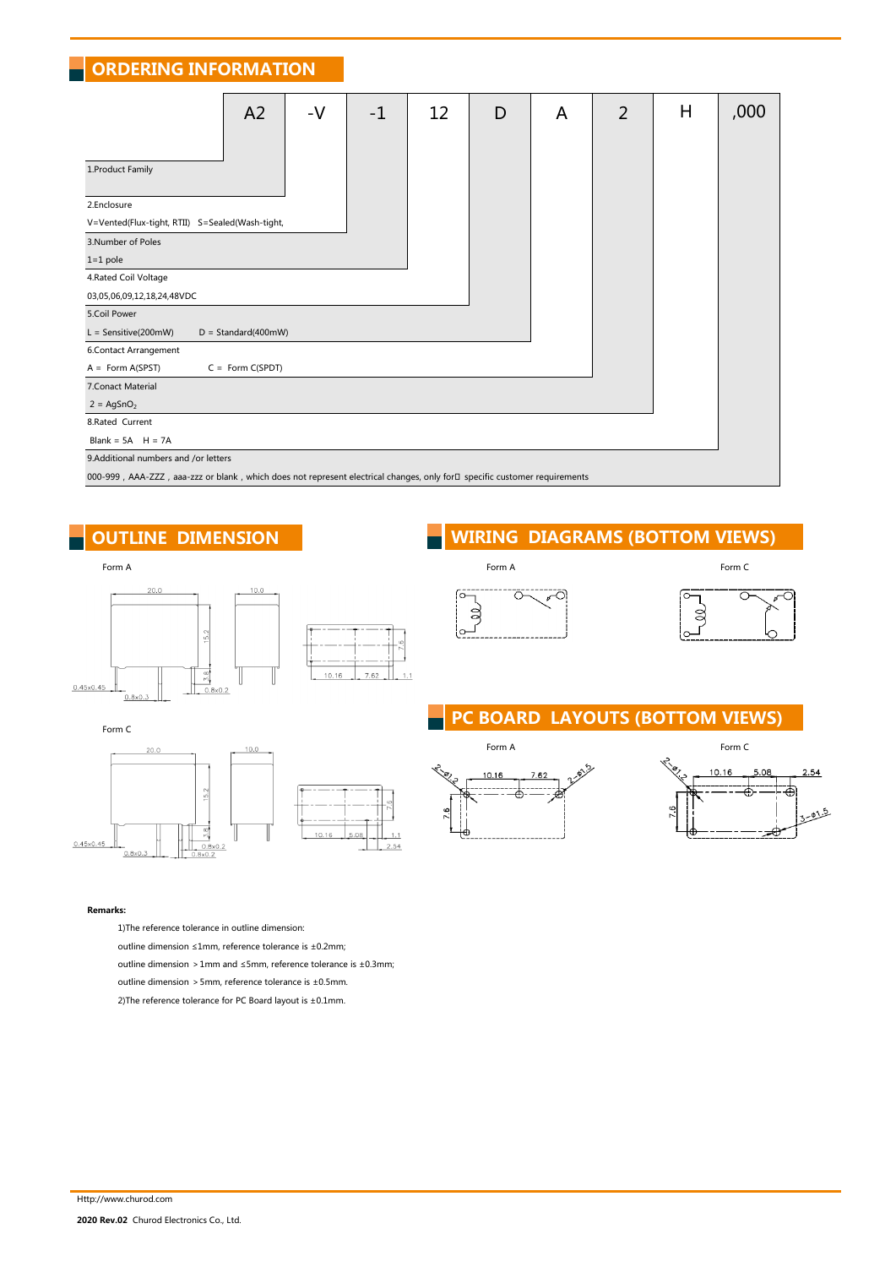**ORDERING INFORMATION**

|                                                                                                                           | A <sub>2</sub>        | $-V$ | $-1$ | 12 | D | A | $\overline{2}$ | H | ,000 |
|---------------------------------------------------------------------------------------------------------------------------|-----------------------|------|------|----|---|---|----------------|---|------|
|                                                                                                                           |                       |      |      |    |   |   |                |   |      |
| 1. Product Family                                                                                                         |                       |      |      |    |   |   |                |   |      |
| 2.Enclosure                                                                                                               |                       |      |      |    |   |   |                |   |      |
| V=Vented(Flux-tight, RTII) S=Sealed(Wash-tight,                                                                           |                       |      |      |    |   |   |                |   |      |
| 3. Number of Poles                                                                                                        |                       |      |      |    |   |   |                |   |      |
| $1=1$ pole                                                                                                                |                       |      |      |    |   |   |                |   |      |
| 4. Rated Coil Voltage                                                                                                     |                       |      |      |    |   |   |                |   |      |
| 03,05,06,09,12,18,24,48VDC                                                                                                |                       |      |      |    |   |   |                |   |      |
| 5.Coil Power                                                                                                              |                       |      |      |    |   |   |                |   |      |
| $L =$ Sensitive(200mW)                                                                                                    | $D = Standard(400mW)$ |      |      |    |   |   |                |   |      |
| 6.Contact Arrangement                                                                                                     |                       |      |      |    |   |   |                |   |      |
| $A = Form A(SPST)$                                                                                                        | $C = Form C(SPDT)$    |      |      |    |   |   |                |   |      |
| 7. Conact Material                                                                                                        |                       |      |      |    |   |   |                |   |      |
| $2 = \text{AgSnO}_2$                                                                                                      |                       |      |      |    |   |   |                |   |      |
| 8.Rated Current                                                                                                           |                       |      |      |    |   |   |                |   |      |
| Blank = $5A$ H = $7A$                                                                                                     |                       |      |      |    |   |   |                |   |      |
| 9.Additional numbers and /or letters                                                                                      |                       |      |      |    |   |   |                |   |      |
| 000-999, AAA-ZZZ, aaa-zzz or blank, which does not represent electrical changes, only for□ specific customer requirements |                       |      |      |    |   |   |                |   |      |

 $\overline{1}$ 

2.54

### Form A Form A Form C  $20.0$  $10.0$  $\frac{5}{2}$  $\overline{5.8}$  $10.16$  $7.62$  $0.45x0.45$  $0.8 \times 0.2$  $0.8x0$

### **OUTLINE DIMENSION**



### **PC BOARD LAYOUTS (BOTTOM VIEWS)**





#### **Remarks:**

 $0.45x0.45$ 

Form C

1)The reference tolerance in outline dimension:

52

 $5.8$ 

 $\frac{0.8 \times 0.2}{8 \times 0.2}$ Ш

outline dimension ≤1mm, reference tolerance is ±0.2mm;

outline dimension >1mm and ≤5mm, reference tolerance is ±0.3mm;

10.16

outline dimension >5mm, reference tolerance is ±0.5mm.

2)The reference tolerance for PC Board layout is ±0.1mm.